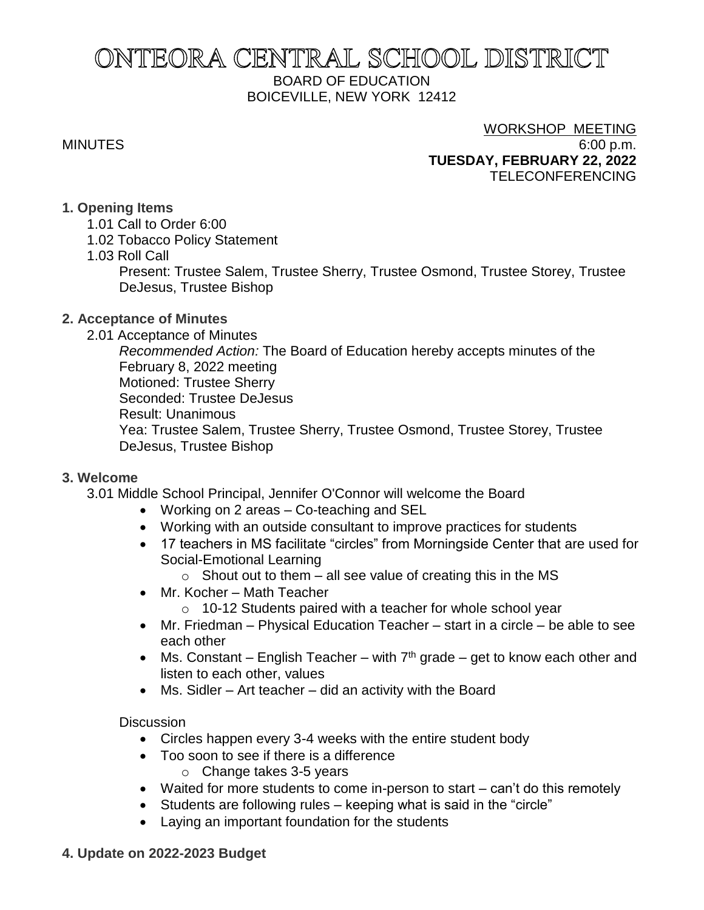# ONTEORA CENTRAL SCHOOL DISTRICT BOARD OF EDUCATION BOICEVILLE, NEW YORK 12412

# WORKSHOP MEETING

MINUTES 6:00 p.m. **TUESDAY, FEBRUARY 22, 2022** TELECONFERENCING

### **1. Opening Items**

- 1.01 Call to Order 6:00
- 1.02 Tobacco Policy Statement
- 1.03 Roll Call

Present: Trustee Salem, Trustee Sherry, Trustee Osmond, Trustee Storey, Trustee DeJesus, Trustee Bishop

### **2. Acceptance of Minutes**

2.01 Acceptance of Minutes

*Recommended Action:* The Board of Education hereby accepts minutes of the February 8, 2022 meeting Motioned: Trustee Sherry Seconded: Trustee DeJesus Result: Unanimous Yea: Trustee Salem, Trustee Sherry, Trustee Osmond, Trustee Storey, Trustee DeJesus, Trustee Bishop

### **3. Welcome**

- 3.01 Middle School Principal, Jennifer O'Connor will welcome the Board
	- Working on 2 areas Co-teaching and SEL
	- Working with an outside consultant to improve practices for students
	- 17 teachers in MS facilitate "circles" from Morningside Center that are used for Social-Emotional Learning
		- $\circ$  Shout out to them all see value of creating this in the MS
	- Mr. Kocher Math Teacher
		- o 10-12 Students paired with a teacher for whole school year
	- Mr. Friedman Physical Education Teacher start in a circle be able to see each other
	- Ms. Constant English Teacher with  $7<sup>th</sup>$  grade get to know each other and listen to each other, values
	- Ms. Sidler Art teacher did an activity with the Board

### **Discussion**

- Circles happen every 3-4 weeks with the entire student body
- Too soon to see if there is a difference
	- o Change takes 3-5 years
- Waited for more students to come in-person to start can't do this remotely
- Students are following rules keeping what is said in the "circle"
- Laying an important foundation for the students

### **4. Update on 2022-2023 Budget**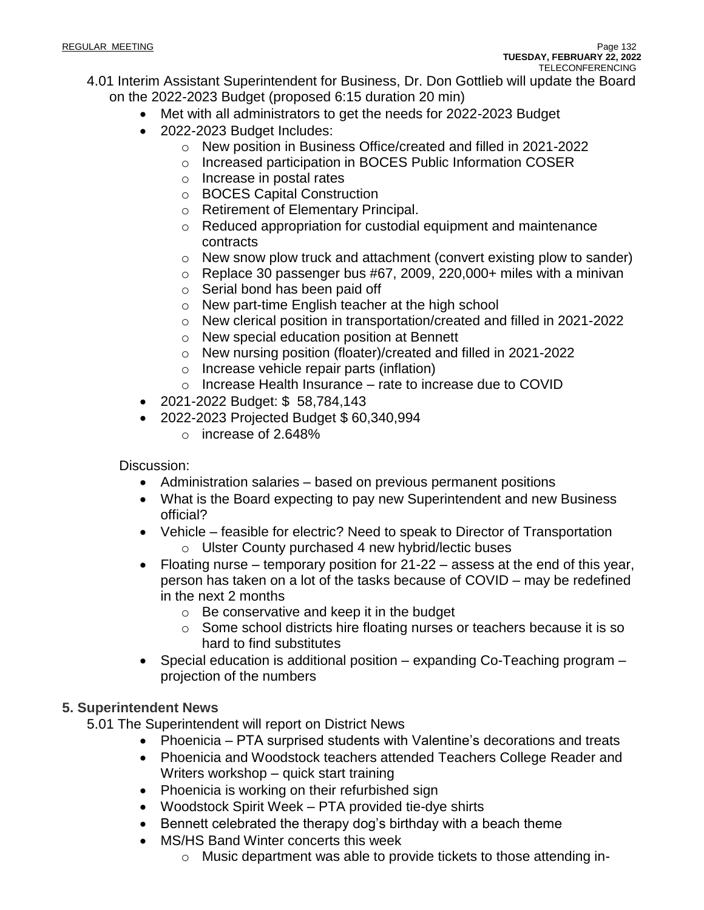- 4.01 Interim Assistant Superintendent for Business, Dr. Don Gottlieb will update the Board on the 2022-2023 Budget (proposed 6:15 duration 20 min)
	- Met with all administrators to get the needs for 2022-2023 Budget
	- 2022-2023 Budget Includes:
		- o New position in Business Office/created and filled in 2021-2022
		- o Increased participation in BOCES Public Information COSER
		- o Increase in postal rates
		- o BOCES Capital Construction
		- o Retirement of Elementary Principal.
		- o Reduced appropriation for custodial equipment and maintenance contracts
		- o New snow plow truck and attachment (convert existing plow to sander)
		- $\circ$  Replace 30 passenger bus #67, 2009, 220,000+ miles with a minivan
		- o Serial bond has been paid off
		- o New part-time English teacher at the high school
		- o New clerical position in transportation/created and filled in 2021-2022
		- o New special education position at Bennett
		- o New nursing position (floater)/created and filled in 2021-2022
		- o Increase vehicle repair parts (inflation)
		- o Increase Health Insurance rate to increase due to COVID
	- 2021-2022 Budget: \$ 58,784,143
	- 2022-2023 Projected Budget \$ 60,340,994
		- o increase of 2.648%

Discussion:

- Administration salaries based on previous permanent positions
- What is the Board expecting to pay new Superintendent and new Business official?
- Vehicle feasible for electric? Need to speak to Director of Transportation o Ulster County purchased 4 new hybrid/lectic buses
- Floating nurse temporary position for 21-22 assess at the end of this year, person has taken on a lot of the tasks because of COVID – may be redefined in the next 2 months
	- o Be conservative and keep it in the budget
	- o Some school districts hire floating nurses or teachers because it is so hard to find substitutes
- Special education is additional position expanding Co-Teaching program projection of the numbers

### **5. Superintendent News**

5.01 The Superintendent will report on District News

- Phoenicia PTA surprised students with Valentine's decorations and treats
- Phoenicia and Woodstock teachers attended Teachers College Reader and Writers workshop – quick start training
- Phoenicia is working on their refurbished sign
- Woodstock Spirit Week PTA provided tie-dye shirts
- Bennett celebrated the therapy dog's birthday with a beach theme
- MS/HS Band Winter concerts this week
	- o Music department was able to provide tickets to those attending in-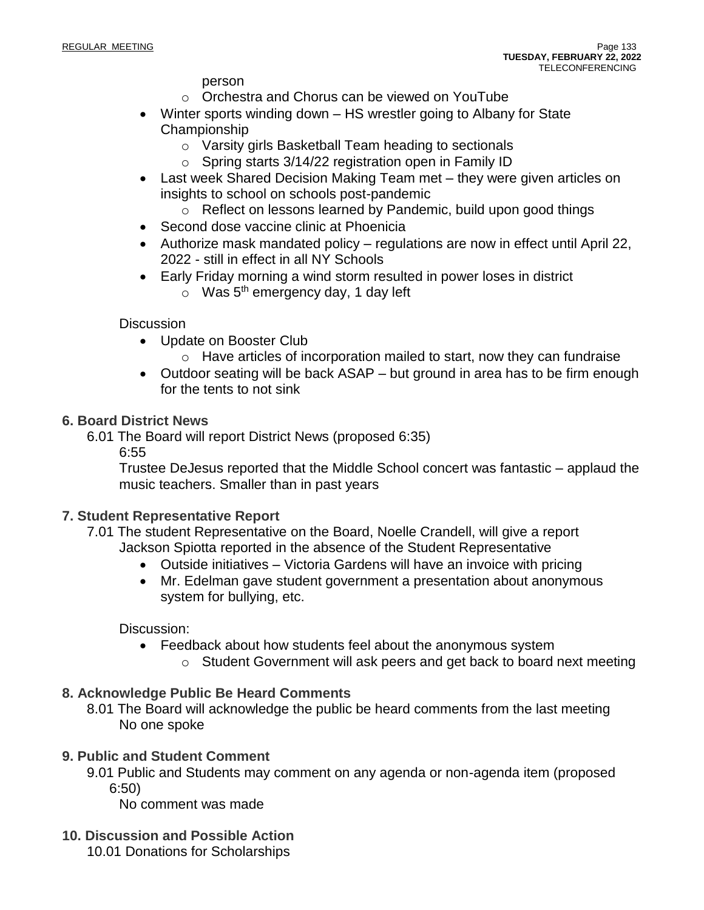person

- o Orchestra and Chorus can be viewed on YouTube
- Winter sports winding down HS wrestler going to Albany for State Championship
	- o Varsity girls Basketball Team heading to sectionals
	- $\circ$  Spring starts 3/14/22 registration open in Family ID
- Last week Shared Decision Making Team met they were given articles on insights to school on schools post-pandemic
	- o Reflect on lessons learned by Pandemic, build upon good things
- Second dose vaccine clinic at Phoenicia
- Authorize mask mandated policy regulations are now in effect until April 22, 2022 - still in effect in all NY Schools
- Early Friday morning a wind storm resulted in power loses in district
	- o Was 5<sup>th</sup> emergency day, 1 day left

### **Discussion**

- Update on Booster Club
	- o Have articles of incorporation mailed to start, now they can fundraise
- Outdoor seating will be back ASAP but ground in area has to be firm enough for the tents to not sink

### **6. Board District News**

- 6.01 The Board will report District News (proposed 6:35)
	- 6:55

Trustee DeJesus reported that the Middle School concert was fantastic – applaud the music teachers. Smaller than in past years

### **7. Student Representative Report**

- 7.01 The student Representative on the Board, Noelle Crandell, will give a report Jackson Spiotta reported in the absence of the Student Representative
	- Outside initiatives Victoria Gardens will have an invoice with pricing
	- Mr. Edelman gave student government a presentation about anonymous system for bullying, etc.

### Discussion:

- Feedback about how students feel about the anonymous system
	- o Student Government will ask peers and get back to board next meeting

## **8. Acknowledge Public Be Heard Comments**

8.01 The Board will acknowledge the public be heard comments from the last meeting No one spoke

### **9. Public and Student Comment**

9.01 Public and Students may comment on any agenda or non-agenda item (proposed 6:50)

No comment was made

**10. Discussion and Possible Action**

10.01 Donations for Scholarships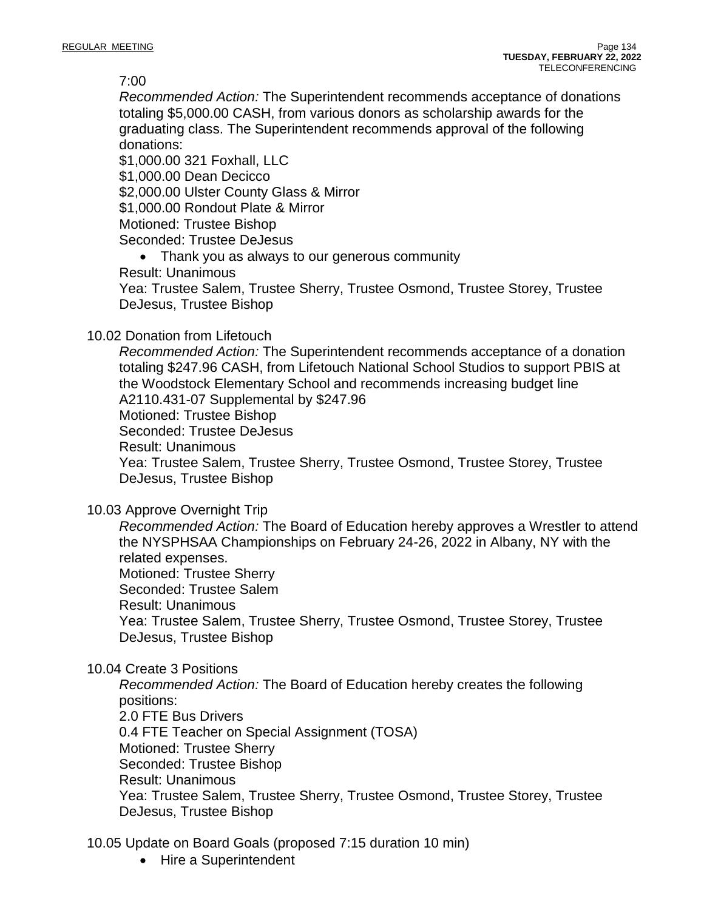7:00

*Recommended Action:* The Superintendent recommends acceptance of donations totaling \$5,000.00 CASH, from various donors as scholarship awards for the graduating class. The Superintendent recommends approval of the following donations:

\$1,000.00 321 Foxhall, LLC \$1,000.00 Dean Decicco \$2,000.00 Ulster County Glass & Mirror \$1,000.00 Rondout Plate & Mirror Motioned: Trustee Bishop

Seconded: Trustee DeJesus

• Thank you as always to our generous community

Result: Unanimous

Yea: Trustee Salem, Trustee Sherry, Trustee Osmond, Trustee Storey, Trustee DeJesus, Trustee Bishop

### 10.02 Donation from Lifetouch

*Recommended Action:* The Superintendent recommends acceptance of a donation totaling \$247.96 CASH, from Lifetouch National School Studios to support PBIS at the Woodstock Elementary School and recommends increasing budget line A2110.431-07 Supplemental by \$247.96 Motioned: Trustee Bishop Seconded: Trustee DeJesus Result: Unanimous Yea: Trustee Salem, Trustee Sherry, Trustee Osmond, Trustee Storey, Trustee DeJesus, Trustee Bishop

10.03 Approve Overnight Trip

*Recommended Action:* The Board of Education hereby approves a Wrestler to attend the NYSPHSAA Championships on February 24-26, 2022 in Albany, NY with the related expenses. Motioned: Trustee Sherry Seconded: Trustee Salem

Result: Unanimous

Yea: Trustee Salem, Trustee Sherry, Trustee Osmond, Trustee Storey, Trustee DeJesus, Trustee Bishop

10.04 Create 3 Positions

*Recommended Action:* The Board of Education hereby creates the following positions: 2.0 FTE Bus Drivers 0.4 FTE Teacher on Special Assignment (TOSA) Motioned: Trustee Sherry Seconded: Trustee Bishop Result: Unanimous Yea: Trustee Salem, Trustee Sherry, Trustee Osmond, Trustee Storey, Trustee DeJesus, Trustee Bishop

10.05 Update on Board Goals (proposed 7:15 duration 10 min)

• Hire a Superintendent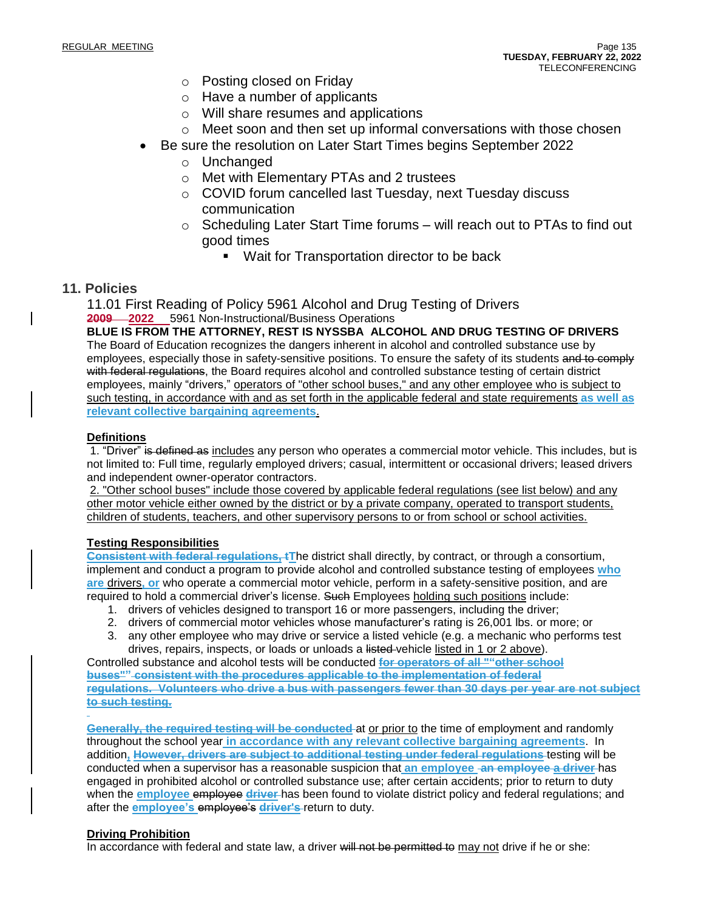- o Posting closed on Friday
- o Have a number of applicants
- o Will share resumes and applications
- $\circ$  Meet soon and then set up informal conversations with those chosen
- Be sure the resolution on Later Start Times begins September 2022
	- o Unchanged
		- o Met with Elementary PTAs and 2 trustees
		- o COVID forum cancelled last Tuesday, next Tuesday discuss communication
		- $\circ$  Scheduling Later Start Time forums will reach out to PTAs to find out good times
			- Wait for Transportation director to be back

### **11. Policies**

11.01 First Reading of Policy 5961 Alcohol and Drug Testing of Drivers **2009 2022** 5961 Non-Instructional/Business Operations

**BLUE IS FROM THE ATTORNEY, REST IS NYSSBA ALCOHOL AND DRUG TESTING OF DRIVERS** The Board of Education recognizes the dangers inherent in alcohol and controlled substance use by employees, especially those in safety-sensitive positions. To ensure the safety of its students and to comply with federal regulations, the Board requires alcohol and controlled substance testing of certain district employees, mainly "drivers," operators of "other school buses," and any other employee who is subject to such testing, in accordance with and as set forth in the applicable federal and state requirements **as well as relevant collective bargaining agreements**.

#### **Definitions**

1. "Driver" is defined as includes any person who operates a commercial motor vehicle. This includes, but is not limited to: Full time, regularly employed drivers; casual, intermittent or occasional drivers; leased drivers and independent owner-operator contractors.

2. "Other school buses" include those covered by applicable federal regulations (see list below) and any other motor vehicle either owned by the district or by a private company, operated to transport students, children of students, teachers, and other supervisory persons to or from school or school activities.

### **Testing Responsibilities**

**Consistent with federal regulations, tT**he district shall directly, by contract, or through a consortium, implement and conduct a program to provide alcohol and controlled substance testing of employees **who are** drivers**, or** who operate a commercial motor vehicle, perform in a safety-sensitive position, and are required to hold a commercial driver's license. Such Employees holding such positions include:

- 1. drivers of vehicles designed to transport 16 or more passengers, including the driver;
- 2. drivers of commercial motor vehicles whose manufacturer's rating is 26,001 lbs. or more; or
- 3. any other employee who may drive or service a listed vehicle (e.g. a mechanic who performs test drives, repairs, inspects, or loads or unloads a listed-vehicle listed in 1 or 2 above).

Controlled substance and alcohol tests will be conducted **for operators of all ""other school buses"" consistent with the procedures applicable to the implementation of federal regulations. Volunteers who drive a bus with passengers fewer than 30 days per year are not subject to such testing.**

**Generally, the required testing will be conducted** at or prior to the time of employment and randomly throughout the school year **in accordance with any relevant collective bargaining agreements**. In addition**, However, drivers are subject to additional testing under federal regulations** testing will be conducted when a supervisor has a reasonable suspicion that **an employee an employee a driver** has engaged in prohibited alcohol or controlled substance use; after certain accidents; prior to return to duty when the **employee** employee **driver** has been found to violate district policy and federal regulations; and after the **employee's** employee's **driver's** return to duty.

#### **Driving Prohibition**

In accordance with federal and state law, a driver will not be permitted to may not drive if he or she: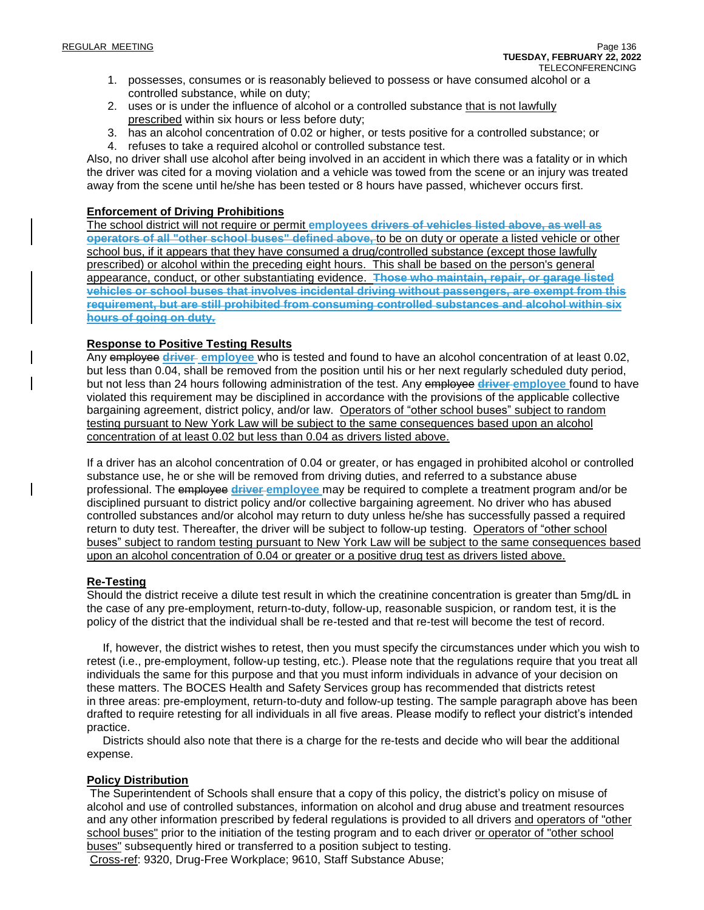- 1. possesses, consumes or is reasonably believed to possess or have consumed alcohol or a controlled substance, while on duty;
- 2. uses or is under the influence of alcohol or a controlled substance that is not lawfully prescribed within six hours or less before duty;
- 3. has an alcohol concentration of 0.02 or higher, or tests positive for a controlled substance; or
- 4. refuses to take a required alcohol or controlled substance test.

Also, no driver shall use alcohol after being involved in an accident in which there was a fatality or in which the driver was cited for a moving violation and a vehicle was towed from the scene or an injury was treated away from the scene until he/she has been tested or 8 hours have passed, whichever occurs first.

#### **Enforcement of Driving Prohibitions**

The school district will not require or permit **employees drivers of vehicles listed above, as well as operators of all "other school buses" defined above,** to be on duty or operate a listed vehicle or other school bus, if it appears that they have consumed a drug/controlled substance (except those lawfully prescribed) or alcohol within the preceding eight hours. This shall be based on the person's general appearance, conduct, or other substantiating evidence. **Those who maintain, repair, or garage listed vehicles or school buses that involves incidental driving without passengers, are exempt from this requirement, but are still prohibited from consuming controlled substances and alcohol within six hours of going on duty.**

#### **Response to Positive Testing Results**

Any employee **driver employee** who is tested and found to have an alcohol concentration of at least 0.02, but less than 0.04, shall be removed from the position until his or her next regularly scheduled duty period, but not less than 24 hours following administration of the test. Any employee **driver employee** found to have violated this requirement may be disciplined in accordance with the provisions of the applicable collective bargaining agreement, district policy, and/or law. Operators of "other school buses" subject to random testing pursuant to New York Law will be subject to the same consequences based upon an alcohol concentration of at least 0.02 but less than 0.04 as drivers listed above.

If a driver has an alcohol concentration of 0.04 or greater, or has engaged in prohibited alcohol or controlled substance use, he or she will be removed from driving duties, and referred to a substance abuse professional. The employee **driver employee** may be required to complete a treatment program and/or be disciplined pursuant to district policy and/or collective bargaining agreement. No driver who has abused controlled substances and/or alcohol may return to duty unless he/she has successfully passed a required return to duty test. Thereafter, the driver will be subject to follow-up testing. Operators of "other school buses" subject to random testing pursuant to New York Law will be subject to the same consequences based upon an alcohol concentration of 0.04 or greater or a positive drug test as drivers listed above.

#### **Re-Testing**

Should the district receive a dilute test result in which the creatinine concentration is greater than 5mg/dL in the case of any pre-employment, return-to-duty, follow-up, reasonable suspicion, or random test, it is the policy of the district that the individual shall be re-tested and that re-test will become the test of record.

 If, however, the district wishes to retest, then you must specify the circumstances under which you wish to retest (i.e., pre-employment, follow-up testing, etc.). Please note that the regulations require that you treat all individuals the same for this purpose and that you must inform individuals in advance of your decision on these matters. The BOCES Health and Safety Services group has recommended that districts retest in three areas: pre-employment, return-to-duty and follow-up testing. The sample paragraph above has been drafted to require retesting for all individuals in all five areas. Please modify to reflect your district's intended practice.

 Districts should also note that there is a charge for the re-tests and decide who will bear the additional expense.

### **Policy Distribution**

The Superintendent of Schools shall ensure that a copy of this policy, the district's policy on misuse of alcohol and use of controlled substances, information on alcohol and drug abuse and treatment resources and any other information prescribed by federal regulations is provided to all drivers and operators of "other school buses" prior to the initiation of the testing program and to each driver or operator of "other school" buses" subsequently hired or transferred to a position subject to testing.

Cross-ref: 9320, Drug-Free Workplace; 9610, Staff Substance Abuse;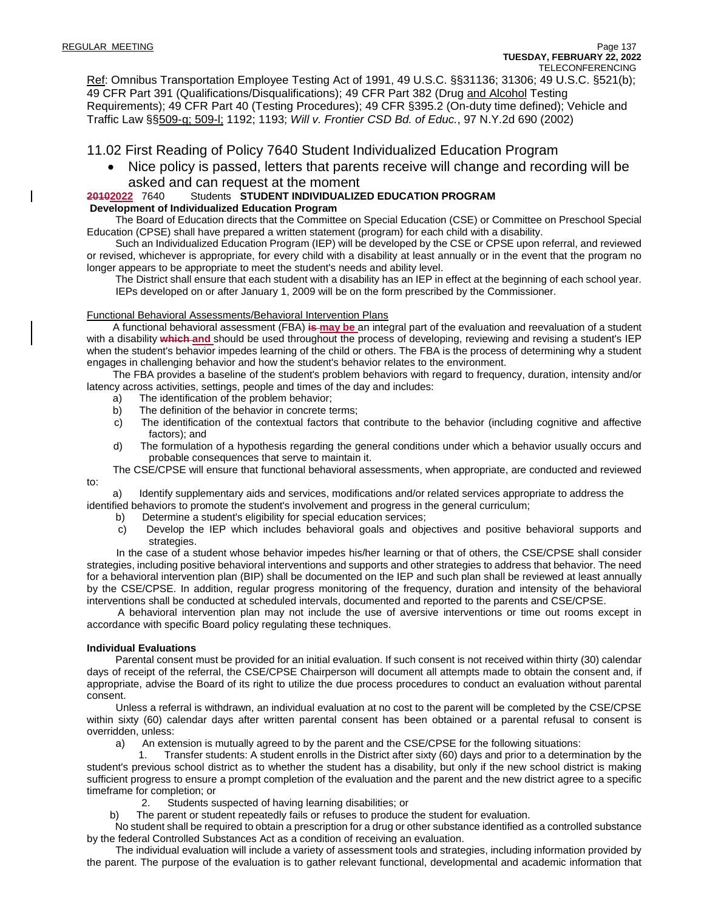Ref: Omnibus Transportation Employee Testing Act of 1991, 49 U.S.C. §§31136; 31306; 49 U.S.C. §521(b); 49 CFR Part 391 (Qualifications/Disqualifications); 49 CFR Part 382 (Drug and Alcohol Testing Requirements); 49 CFR Part 40 (Testing Procedures); 49 CFR §395.2 (On-duty time defined); Vehicle and Traffic Law §§509-g; 509-l; 1192; 1193; *Will v. Frontier CSD Bd. of Educ.*, 97 N.Y.2d 690 (2002)

11.02 First Reading of Policy 7640 Student Individualized Education Program

• Nice policy is passed, letters that parents receive will change and recording will be

### asked and can request at the moment<br>20102022 7640 Students STUDENT INDIVIDUALIZI **20102022** 7640 Students **STUDENT INDIVIDUALIZED EDUCATION PROGRAM**

#### **Development of Individualized Education Program**

 The Board of Education directs that the Committee on Special Education (CSE) or Committee on Preschool Special Education (CPSE) shall have prepared a written statement (program) for each child with a disability.

 Such an Individualized Education Program (IEP) will be developed by the CSE or CPSE upon referral, and reviewed or revised, whichever is appropriate, for every child with a disability at least annually or in the event that the program no longer appears to be appropriate to meet the student's needs and ability level.

 The District shall ensure that each student with a disability has an IEP in effect at the beginning of each school year. IEPs developed on or after January 1, 2009 will be on the form prescribed by the Commissioner.

#### Functional Behavioral Assessments/Behavioral Intervention Plans

 A functional behavioral assessment (FBA) **is may be** an integral part of the evaluation and reevaluation of a student with a disability **which and** should be used throughout the process of developing, reviewing and revising a student's IEP when the student's behavior impedes learning of the child or others. The FBA is the process of determining why a student engages in challenging behavior and how the student's behavior relates to the environment.

 The FBA provides a baseline of the student's problem behaviors with regard to frequency, duration, intensity and/or latency across activities, settings, people and times of the day and includes:

- a) The identification of the problem behavior;
- b) The definition of the behavior in concrete terms;
- c) The identification of the contextual factors that contribute to the behavior (including cognitive and affective factors); and
- d) The formulation of a hypothesis regarding the general conditions under which a behavior usually occurs and probable consequences that serve to maintain it.
- The CSE/CPSE will ensure that functional behavioral assessments, when appropriate, are conducted and reviewed

 a) Identify supplementary aids and services, modifications and/or related services appropriate to address the identified behaviors to promote the student's involvement and progress in the general curriculum;

- b) Determine a student's eligibility for special education services;
- c) Develop the IEP which includes behavioral goals and objectives and positive behavioral supports and strategies.

 In the case of a student whose behavior impedes his/her learning or that of others, the CSE/CPSE shall consider strategies, including positive behavioral interventions and supports and other strategies to address that behavior. The need for a behavioral intervention plan (BIP) shall be documented on the IEP and such plan shall be reviewed at least annually by the CSE/CPSE. In addition, regular progress monitoring of the frequency, duration and intensity of the behavioral interventions shall be conducted at scheduled intervals, documented and reported to the parents and CSE/CPSE.

 A behavioral intervention plan may not include the use of aversive interventions or time out rooms except in accordance with specific Board policy regulating these techniques.

#### **Individual Evaluations**

to:

 Parental consent must be provided for an initial evaluation. If such consent is not received within thirty (30) calendar days of receipt of the referral, the CSE/CPSE Chairperson will document all attempts made to obtain the consent and, if appropriate, advise the Board of its right to utilize the due process procedures to conduct an evaluation without parental consent.

 Unless a referral is withdrawn, an individual evaluation at no cost to the parent will be completed by the CSE/CPSE within sixty (60) calendar days after written parental consent has been obtained or a parental refusal to consent is overridden, unless:

a) An extension is mutually agreed to by the parent and the CSE/CPSE for the following situations:

 1. Transfer students: A student enrolls in the District after sixty (60) days and prior to a determination by the student's previous school district as to whether the student has a disability, but only if the new school district is making sufficient progress to ensure a prompt completion of the evaluation and the parent and the new district agree to a specific timeframe for completion; or

2. Students suspected of having learning disabilities; or

b) The parent or student repeatedly fails or refuses to produce the student for evaluation.

 No student shall be required to obtain a prescription for a drug or other substance identified as a controlled substance by the federal Controlled Substances Act as a condition of receiving an evaluation.

 The individual evaluation will include a variety of assessment tools and strategies, including information provided by the parent. The purpose of the evaluation is to gather relevant functional, developmental and academic information that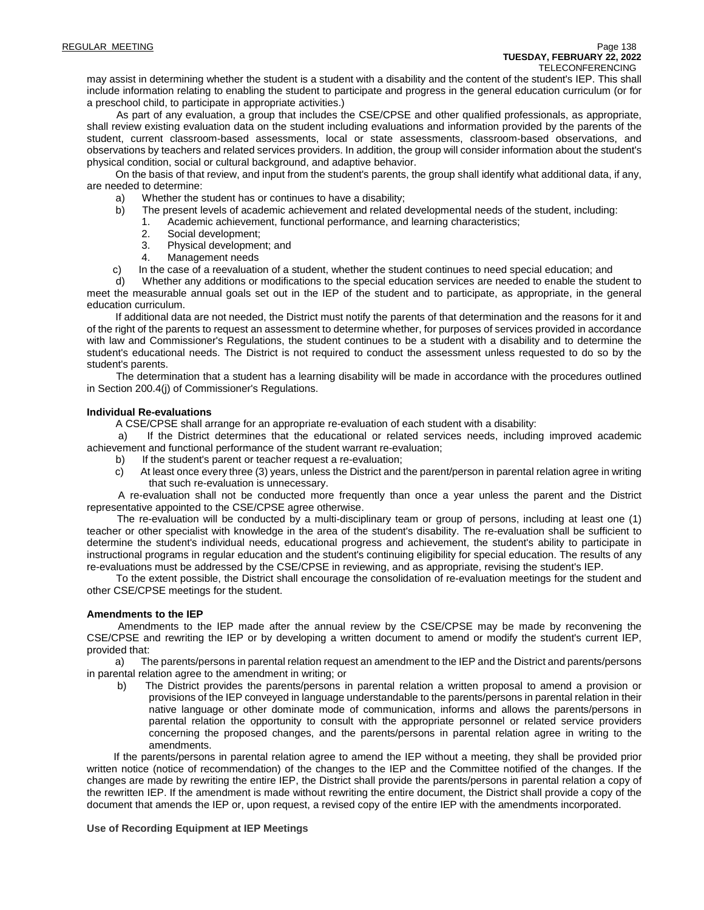may assist in determining whether the student is a student with a disability and the content of the student's IEP. This shall include information relating to enabling the student to participate and progress in the general education curriculum (or for a preschool child, to participate in appropriate activities.)

 As part of any evaluation, a group that includes the CSE/CPSE and other qualified professionals, as appropriate, shall review existing evaluation data on the student including evaluations and information provided by the parents of the student, current classroom-based assessments, local or state assessments, classroom-based observations, and observations by teachers and related services providers. In addition, the group will consider information about the student's physical condition, social or cultural background, and adaptive behavior.

 On the basis of that review, and input from the student's parents, the group shall identify what additional data, if any, are needed to determine:

- a) Whether the student has or continues to have a disability;
- b) The present levels of academic achievement and related developmental needs of the student, including:
	- 1. Academic achievement, functional performance, and learning characteristics;
	- 2. Social development;
	- 3. Physical development; and
	- 4. Management needs
- c) In the case of a reevaluation of a student, whether the student continues to need special education; and

 d) Whether any additions or modifications to the special education services are needed to enable the student to meet the measurable annual goals set out in the IEP of the student and to participate, as appropriate, in the general education curriculum.

 If additional data are not needed, the District must notify the parents of that determination and the reasons for it and of the right of the parents to request an assessment to determine whether, for purposes of services provided in accordance with law and Commissioner's Regulations, the student continues to be a student with a disability and to determine the student's educational needs. The District is not required to conduct the assessment unless requested to do so by the student's parents.

 The determination that a student has a learning disability will be made in accordance with the procedures outlined in Section 200.4(j) of Commissioner's Regulations.

#### **Individual Re-evaluations**

A CSE/CPSE shall arrange for an appropriate re-evaluation of each student with a disability:

 a) If the District determines that the educational or related services needs, including improved academic achievement and functional performance of the student warrant re-evaluation;

- b) If the student's parent or teacher request a re-evaluation;
- c) At least once every three (3) years, unless the District and the parent/person in parental relation agree in writing that such re-evaluation is unnecessary.

 A re-evaluation shall not be conducted more frequently than once a year unless the parent and the District representative appointed to the CSE/CPSE agree otherwise.

 The re-evaluation will be conducted by a multi-disciplinary team or group of persons, including at least one (1) teacher or other specialist with knowledge in the area of the student's disability. The re-evaluation shall be sufficient to determine the student's individual needs, educational progress and achievement, the student's ability to participate in instructional programs in regular education and the student's continuing eligibility for special education. The results of any re-evaluations must be addressed by the CSE/CPSE in reviewing, and as appropriate, revising the student's IEP.

 To the extent possible, the District shall encourage the consolidation of re-evaluation meetings for the student and other CSE/CPSE meetings for the student.

#### **Amendments to the IEP**

 Amendments to the IEP made after the annual review by the CSE/CPSE may be made by reconvening the CSE/CPSE and rewriting the IEP or by developing a written document to amend or modify the student's current IEP, provided that:

 a) The parents/persons in parental relation request an amendment to the IEP and the District and parents/persons in parental relation agree to the amendment in writing; or

 b) The District provides the parents/persons in parental relation a written proposal to amend a provision or provisions of the IEP conveyed in language understandable to the parents/persons in parental relation in their native language or other dominate mode of communication, informs and allows the parents/persons in parental relation the opportunity to consult with the appropriate personnel or related service providers concerning the proposed changes, and the parents/persons in parental relation agree in writing to the amendments.

 If the parents/persons in parental relation agree to amend the IEP without a meeting, they shall be provided prior written notice (notice of recommendation) of the changes to the IEP and the Committee notified of the changes. If the changes are made by rewriting the entire IEP, the District shall provide the parents/persons in parental relation a copy of the rewritten IEP. If the amendment is made without rewriting the entire document, the District shall provide a copy of the document that amends the IEP or, upon request, a revised copy of the entire IEP with the amendments incorporated.

**Use of Recording Equipment at IEP Meetings**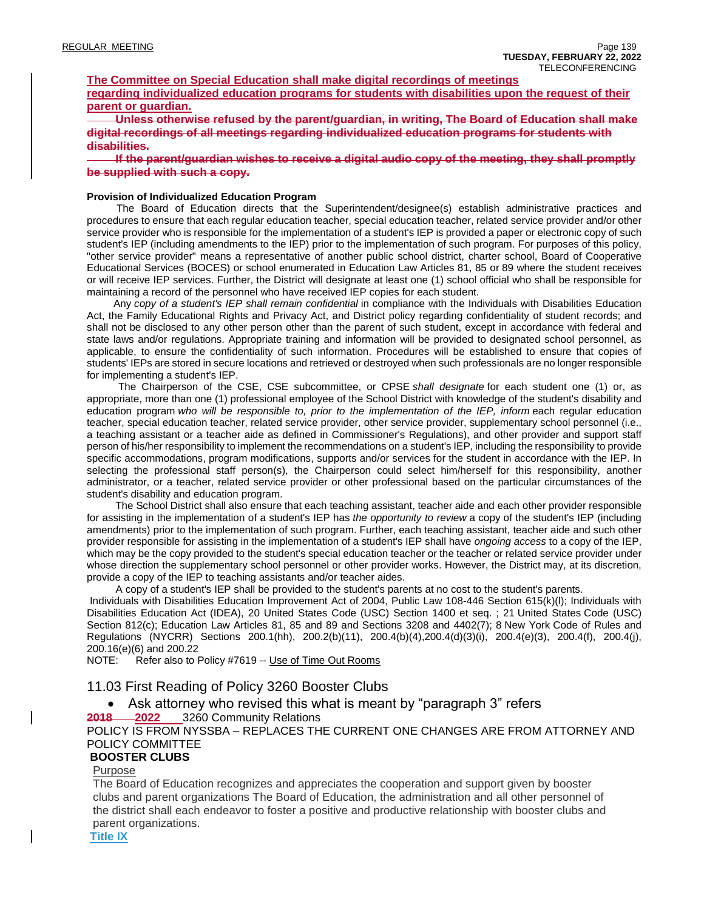#### **The Committee on Special Education shall make digital recordings of meetings**

**regarding individualized education programs for students with disabilities upon the request of their parent or guardian.**

 **Unless otherwise refused by the parent/guardian, in writing, The Board of Education shall make digital recordings of all meetings regarding individualized education programs for students with disabilities.**

 **If the parent/guardian wishes to receive a digital audio copy of the meeting, they shall promptly be supplied with such a copy.**

#### **Provision of Individualized Education Program**

 The Board of Education directs that the Superintendent/designee(s) establish administrative practices and procedures to ensure that each regular education teacher, special education teacher, related service provider and/or other service provider who is responsible for the implementation of a student's IEP is provided a paper or electronic copy of such student's IEP (including amendments to the IEP) prior to the implementation of such program. For purposes of this policy, "other service provider" means a representative of another public school district, charter school, Board of Cooperative Educational Services (BOCES) or school enumerated in Education Law Articles 81, 85 or 89 where the student receives or will receive IEP services. Further, the District will designate at least one (1) school official who shall be responsible for maintaining a record of the personnel who have received IEP copies for each student.

 Any *copy of a student's IEP shall remain confidential* in compliance with the Individuals with Disabilities Education Act, the Family Educational Rights and Privacy Act, and District policy regarding confidentiality of student records; and shall not be disclosed to any other person other than the parent of such student, except in accordance with federal and state laws and/or regulations. Appropriate training and information will be provided to designated school personnel, as applicable, to ensure the confidentiality of such information. Procedures will be established to ensure that copies of students' IEPs are stored in secure locations and retrieved or destroyed when such professionals are no longer responsible for implementing a student's IEP.

 The Chairperson of the CSE, CSE subcommittee, or CPSE *shall designate* for each student one (1) or, as appropriate, more than one (1) professional employee of the School District with knowledge of the student's disability and education program *who will be responsible to, prior to the implementation of the IEP, inform* each regular education teacher, special education teacher, related service provider, other service provider, supplementary school personnel (i.e., a teaching assistant or a teacher aide as defined in Commissioner's Regulations), and other provider and support staff person of his/her responsibility to implement the recommendations on a student's IEP, including the responsibility to provide specific accommodations, program modifications, supports and/or services for the student in accordance with the IEP. In selecting the professional staff person(s), the Chairperson could select him/herself for this responsibility, another administrator, or a teacher, related service provider or other professional based on the particular circumstances of the student's disability and education program.

 The School District shall also ensure that each teaching assistant, teacher aide and each other provider responsible for assisting in the implementation of a student's IEP has *the opportunity to review* a copy of the student's IEP (including amendments) prior to the implementation of such program. Further, each teaching assistant, teacher aide and such other provider responsible for assisting in the implementation of a student's IEP shall have *ongoing access* to a copy of the IEP, which may be the copy provided to the student's special education teacher or the teacher or related service provider under whose direction the supplementary school personnel or other provider works. However, the District may, at its discretion, provide a copy of the IEP to teaching assistants and/or teacher aides.

A copy of a student's IEP shall be provided to the student's parents at no cost to the student's parents.

Individuals with Disabilities Education Improvement Act of 2004, Public Law 108-446 Section 615(k)(l); Individuals with Disabilities Education Act (IDEA), 20 United States Code (USC) Section 1400 et seq. ; 21 United States Code (USC) Section 812(c); Education Law Articles 81, 85 and 89 and Sections 3208 and 4402(7); 8 New York Code of Rules and Regulations (NYCRR) Sections 200.1(hh), 200.2(b)(11), 200.4(b)(4),200.4(d)(3)(i), 200.4(e)(3), 200.4(f), 200.4(j), 200.16(e)(6) and 200.22

NOTE: Refer also to Policy #7619 -- Use of Time Out Rooms

#### 11.03 First Reading of Policy 3260 Booster Clubs

• Ask attorney who revised this what is meant by "paragraph 3" refers

**2018 2022** 3260 Community Relations

#### POLICY IS FROM NYSSBA – REPLACES THE CURRENT ONE CHANGES ARE FROM ATTORNEY AND POLICY COMMITTEE

#### **BOOSTER CLUBS**

#### Purpose

The Board of Education recognizes and appreciates the cooperation and support given by booster clubs and parent organizations The Board of Education, the administration and all other personnel of the district shall each endeavor to foster a positive and productive relationship with booster clubs and parent organizations.

**Title IX**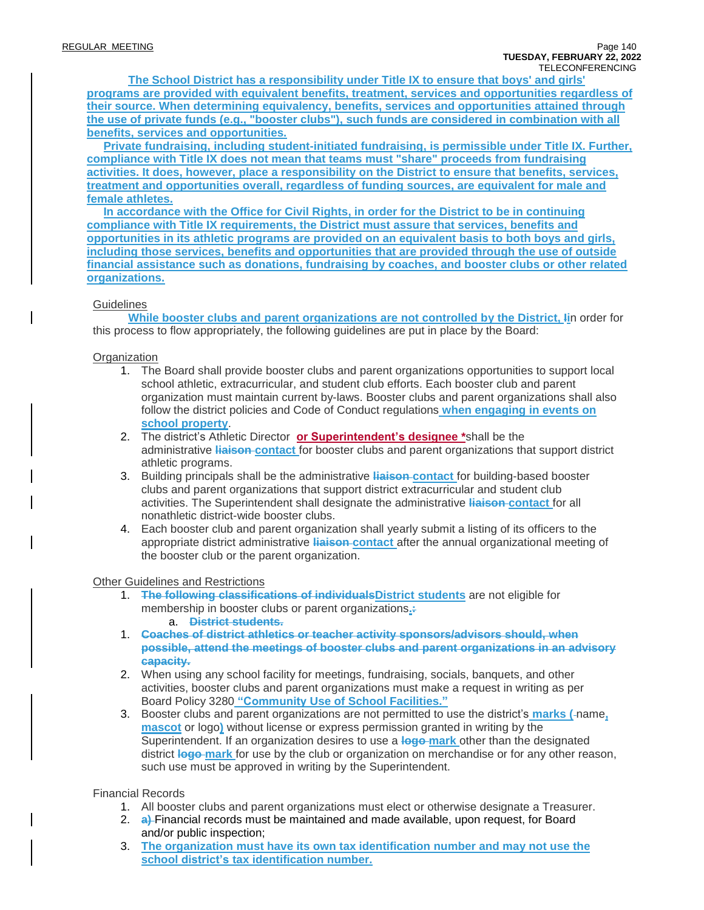**The School District has a responsibility under Title IX to ensure that boys' and girls' programs are provided with equivalent benefits, treatment, services and opportunities regardless of their source. When determining equivalency, benefits, services and opportunities attained through the use of private funds (e.g., "booster clubs"), such funds are considered in combination with all benefits, services and opportunities.**

**Private fundraising, including student-initiated fundraising, is permissible under Title IX. Further, compliance with Title IX does not mean that teams must "share" proceeds from fundraising activities. It does, however, place a responsibility on the District to ensure that benefits, services, treatment and opportunities overall, regardless of funding sources, are equivalent for male and female athletes.**

**In accordance with the Office for Civil Rights, in order for the District to be in continuing compliance with Title IX requirements, the District must assure that services, benefits and opportunities in its athletic programs are provided on an equivalent basis to both boys and girls, including those services, benefits and opportunities that are provided through the use of outside financial assistance such as donations, fundraising by coaches, and booster clubs or other related organizations.**

#### **Guidelines**

**While booster clubs and parent organizations are not controlled by the District, Ii**n order for this process to flow appropriately, the following guidelines are put in place by the Board:

#### **Organization**

- 1. The Board shall provide booster clubs and parent organizations opportunities to support local school athletic, extracurricular, and student club efforts. Each booster club and parent organization must maintain current by-laws. Booster clubs and parent organizations shall also follow the district policies and Code of Conduct regulations **when engaging in events on school property**.
- 2. The district's Athletic Director **or Superintendent's designee \***shall be the administrative **liaison contact** for booster clubs and parent organizations that support district athletic programs.
- 3. Building principals shall be the administrative **liaison contact** for building-based booster clubs and parent organizations that support district extracurricular and student club activities. The Superintendent shall designate the administrative **liaison contact** for all nonathletic district-wide booster clubs.
- 4. Each booster club and parent organization shall yearly submit a listing of its officers to the appropriate district administrative **liaison contact** after the annual organizational meeting of the booster club or the parent organization.

#### Other Guidelines and Restrictions

- 1. **The following classifications of individualsDistrict students** are not eligible for membership in booster clubs or parent organizations**.:** a. **District students.**
- 1. **Coaches of district athletics or teacher activity sponsors/advisors should, when possible, attend the meetings of booster clubs and parent organizations in an advisory capacity.**
- 2. When using any school facility for meetings, fundraising, socials, banquets, and other activities, booster clubs and parent organizations must make a request in writing as per Board Policy 3280 **"Community Use of School Facilities."**
- 3. Booster clubs and parent organizations are not permitted to use the district's **marks (** name**, mascot** or logo**)** without license or express permission granted in writing by the Superintendent. If an organization desires to use a **logo mark** other than the designated district **logo mark** for use by the club or organization on merchandise or for any other reason, such use must be approved in writing by the Superintendent.

#### Financial Records

- 1. All booster clubs and parent organizations must elect or otherwise designate a Treasurer.
- 2. **a)** Financial records must be maintained and made available, upon request, for Board and/or public inspection;
- 3. **The organization must have its own tax identification number and may not use the school district's tax identification number.**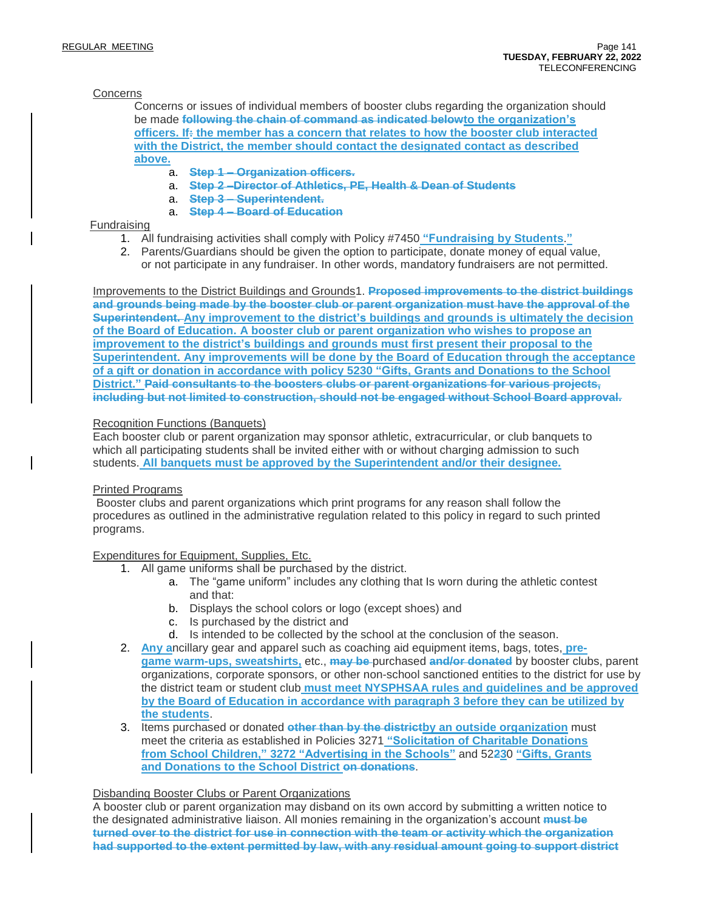#### **Concerns**

Concerns or issues of individual members of booster clubs regarding the organization should be made **following the chain of command as indicated belowto the organization's officers. If: the member has a concern that relates to how the booster club interacted with the District, the member should contact the designated contact as described above.**

- a. **Step 1 – Organization officers.**
- a. **Step 2 –Director of Athletics, PE, Health & Dean of Students**
- a. **Step 3 – Superintendent.**
- a. **Step 4 – Board of Education**

#### Fundraising

- 1. All fundraising activities shall comply with Policy #7450 **"Fundraising by Students**.**"**
- 2. Parents/Guardians should be given the option to participate, donate money of equal value, or not participate in any fundraiser. In other words, mandatory fundraisers are not permitted.

Improvements to the District Buildings and Grounds1. **Proposed improvements to the district buildings and grounds being made by the booster club or parent organization must have the approval of the Superintendent. Any improvement to the district's buildings and grounds is ultimately the decision of the Board of Education. A booster club or parent organization who wishes to propose an improvement to the district's buildings and grounds must first present their proposal to the Superintendent. Any improvements will be done by the Board of Education through the acceptance of a gift or donation in accordance with policy 5230 "Gifts, Grants and Donations to the School District." Paid consultants to the boosters clubs or parent organizations for various projects, including but not limited to construction, should not be engaged without School Board approval.**

#### Recognition Functions (Banquets)

Each booster club or parent organization may sponsor athletic, extracurricular, or club banquets to which all participating students shall be invited either with or without charging admission to such students. **All banquets must be approved by the Superintendent and/or their designee.**

#### Printed Programs

Booster clubs and parent organizations which print programs for any reason shall follow the procedures as outlined in the administrative regulation related to this policy in regard to such printed programs.

#### Expenditures for Equipment, Supplies, Etc.

- 1. All game uniforms shall be purchased by the district.
	- a. The "game uniform" includes any clothing that Is worn during the athletic contest and that:
	- b. Displays the school colors or logo (except shoes) and
	- c. Is purchased by the district and
	- d. Is intended to be collected by the school at the conclusion of the season.
- 2. **Any a**ncillary gear and apparel such as coaching aid equipment items, bags, totes, **pregame warm-ups, sweatshirts,** etc., **may be** purchased **and/or donated** by booster clubs, parent organizations, corporate sponsors, or other non-school sanctioned entities to the district for use by the district team or student club **must meet NYSPHSAA rules and guidelines and be approved by the Board of Education in accordance with paragraph 3 before they can be utilized by the students**.
- 3. Items purchased or donated **other than by the districtby an outside organization** must meet the criteria as established in Policies 3271 **"Solicitation of Charitable Donations from School Children," 3272 "Advertising in the Schools"** and 52**23**0 **"Gifts, Grants and Donations to the School District on donations**.

#### Disbanding Booster Clubs or Parent Organizations

A booster club or parent organization may disband on its own accord by submitting a written notice to the designated administrative liaison. All monies remaining in the organization's account **must be turned over to the district for use in connection with the team or activity which the organization had supported to the extent permitted by law, with any residual amount going to support district**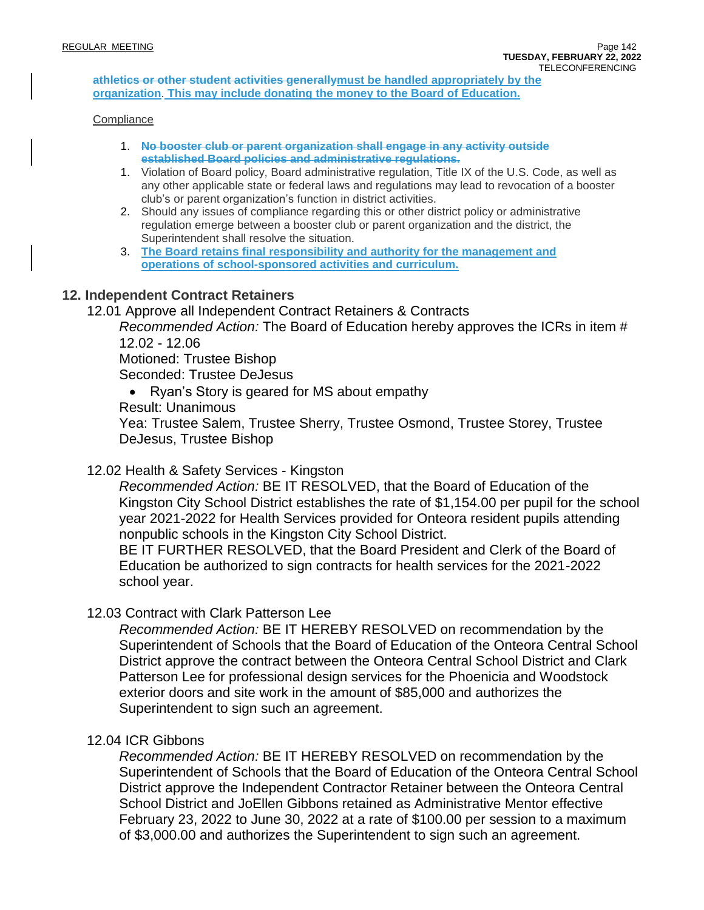**athletics or other student activities generallymust be handled appropriately by the organization**. **This may include donating the money to the Board of Education.**

#### **Compliance**

- 1. **No booster club or parent organization shall engage in any activity outside established Board policies and administrative regulations.**
- 1. Violation of Board policy, Board administrative regulation, Title IX of the U.S. Code, as well as any other applicable state or federal laws and regulations may lead to revocation of a booster club's or parent organization's function in district activities.
- 2. Should any issues of compliance regarding this or other district policy or administrative regulation emerge between a booster club or parent organization and the district, the Superintendent shall resolve the situation.
- 3. **The Board retains final responsibility and authority for the management and operations of school-sponsored activities and curriculum.**

### **12. Independent Contract Retainers**

12.01 Approve all Independent Contract Retainers & Contracts

*Recommended Action:* The Board of Education hereby approves the ICRs in item # 12.02 - 12.06

Motioned: Trustee Bishop

Seconded: Trustee DeJesus

• Ryan's Story is geared for MS about empathy Result: Unanimous Yea: Trustee Salem, Trustee Sherry, Trustee Osmond, Trustee Storey, Trustee DeJesus, Trustee Bishop

### 12.02 Health & Safety Services - Kingston

*Recommended Action:* BE IT RESOLVED, that the Board of Education of the Kingston City School District establishes the rate of \$1,154.00 per pupil for the school year 2021-2022 for Health Services provided for Onteora resident pupils attending nonpublic schools in the Kingston City School District.

BE IT FURTHER RESOLVED, that the Board President and Clerk of the Board of Education be authorized to sign contracts for health services for the 2021-2022 school year.

### 12.03 Contract with Clark Patterson Lee

*Recommended Action:* BE IT HEREBY RESOLVED on recommendation by the Superintendent of Schools that the Board of Education of the Onteora Central School District approve the contract between the Onteora Central School District and Clark Patterson Lee for professional design services for the Phoenicia and Woodstock exterior doors and site work in the amount of \$85,000 and authorizes the Superintendent to sign such an agreement.

### 12.04 ICR Gibbons

*Recommended Action:* BE IT HEREBY RESOLVED on recommendation by the Superintendent of Schools that the Board of Education of the Onteora Central School District approve the Independent Contractor Retainer between the Onteora Central School District and JoEllen Gibbons retained as Administrative Mentor effective February 23, 2022 to June 30, 2022 at a rate of \$100.00 per session to a maximum of \$3,000.00 and authorizes the Superintendent to sign such an agreement.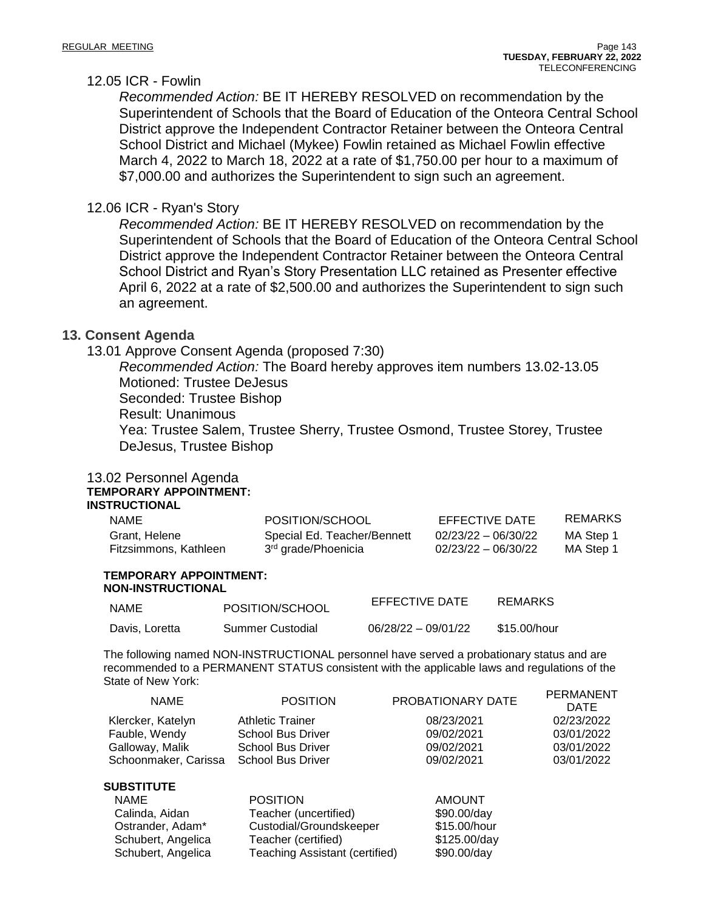### 12.05 ICR - Fowlin

*Recommended Action:* BE IT HEREBY RESOLVED on recommendation by the Superintendent of Schools that the Board of Education of the Onteora Central School District approve the Independent Contractor Retainer between the Onteora Central School District and Michael (Mykee) Fowlin retained as Michael Fowlin effective March 4, 2022 to March 18, 2022 at a rate of \$1,750.00 per hour to a maximum of \$7,000.00 and authorizes the Superintendent to sign such an agreement.

### 12.06 ICR - Ryan's Story

*Recommended Action:* BE IT HEREBY RESOLVED on recommendation by the Superintendent of Schools that the Board of Education of the Onteora Central School District approve the Independent Contractor Retainer between the Onteora Central School District and Ryan's Story Presentation LLC retained as Presenter effective April 6, 2022 at a rate of \$2,500.00 and authorizes the Superintendent to sign such an agreement.

### **13. Consent Agenda**

13.01 Approve Consent Agenda (proposed 7:30)

*Recommended Action:* The Board hereby approves item numbers 13.02-13.05 Motioned: Trustee DeJesus Seconded: Trustee Bishop Result: Unanimous Yea: Trustee Salem, Trustee Sherry, Trustee Osmond, Trustee Storey, Trustee DeJesus, Trustee Bishop

#### 13.02 Personnel Agenda **TEMPORARY APPOINTMENT: INSTRUCTIONAL**

| <b>NAME</b>           | POSITION/SCHOOL                 | EFFECTIVE DATE        | REMARKS   |
|-----------------------|---------------------------------|-----------------------|-----------|
| Grant, Helene         | Special Ed. Teacher/Bennett     | $02/23/22 - 06/30/22$ | MA Step 1 |
| Fitzsimmons, Kathleen | 3 <sup>rd</sup> grade/Phoenicia | $02/23/22 - 06/30/22$ | MA Step 1 |

#### **TEMPORARY APPOINTMENT: NON-INSTRUCTIONAL**

| <b>NAME</b>    | POSITION/SCHOOL  | EFFECTIVE DATE        | REMARKS      |
|----------------|------------------|-----------------------|--------------|
| Davis, Loretta | Summer Custodial | $06/28/22 - 09/01/22$ | \$15.00/hour |

The following named NON-INSTRUCTIONAL personnel have served a probationary status and are recommended to a PERMANENT STATUS consistent with the applicable laws and regulations of the State of New York:

| <b>NAME</b>          | <b>POSITION</b>          | PROBATIONARY DATE | <b>PERMANENT</b><br><b>DATE</b> |
|----------------------|--------------------------|-------------------|---------------------------------|
| Klercker, Katelyn    | <b>Athletic Trainer</b>  | 08/23/2021        | 02/23/2022                      |
| Fauble, Wendy        | School Bus Driver        | 09/02/2021        | 03/01/2022                      |
| Galloway, Malik      | <b>School Bus Driver</b> | 09/02/2021        | 03/01/2022                      |
| Schoonmaker, Carissa | <b>School Bus Driver</b> | 09/02/2021        | 03/01/2022                      |
| <b>SUBSTITUTE</b>    |                          |                   |                                 |
| <b>NAME</b>          | <b>POSITION</b>          | <b>AMOUNT</b>     |                                 |
| Calinda, Aidan       | Teacher (uncertified)    | \$90.00/day       |                                 |
| Ostrander, Adam*     | Custodial/Groundskeeper  | \$15.00/hour      |                                 |

Schubert, Angelica Teacher (certified) \$125.00/day Schubert, Angelica Teaching Assistant (certified) \$90.00/day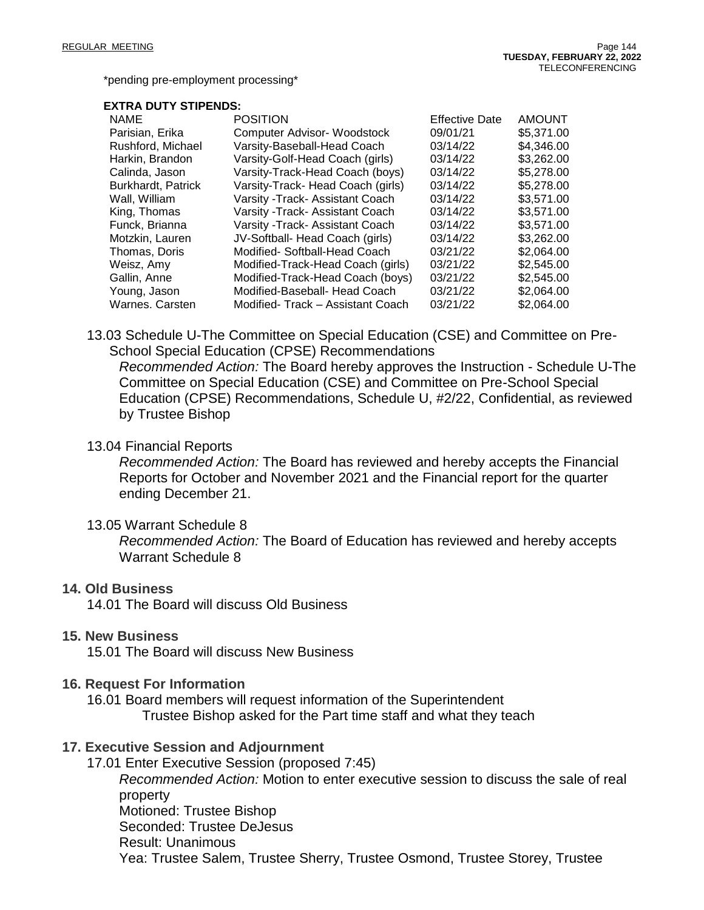\*pending pre-employment processing\*

#### **EXTRA DUTY STIPENDS:**

| <b>NAME</b>        | <b>POSITION</b>                   | <b>Effective Date</b> | <b>AMOUNT</b> |
|--------------------|-----------------------------------|-----------------------|---------------|
| Parisian, Erika    | Computer Advisor- Woodstock       | 09/01/21              | \$5,371.00    |
| Rushford, Michael  | Varsity-Baseball-Head Coach       | 03/14/22              | \$4,346.00    |
| Harkin, Brandon    | Varsity-Golf-Head Coach (girls)   | 03/14/22              | \$3,262.00    |
| Calinda, Jason     | Varsity-Track-Head Coach (boys)   | 03/14/22              | \$5,278.00    |
| Burkhardt, Patrick | Varsity-Track- Head Coach (girls) | 03/14/22              | \$5,278.00    |
| Wall, William      | Varsity - Track - Assistant Coach | 03/14/22              | \$3,571.00    |
| King, Thomas       | Varsity - Track - Assistant Coach | 03/14/22              | \$3,571.00    |
| Funck, Brianna     | Varsity - Track- Assistant Coach  | 03/14/22              | \$3,571.00    |
| Motzkin, Lauren    | JV-Softball- Head Coach (girls)   | 03/14/22              | \$3,262.00    |
| Thomas, Doris      | Modified- Softball-Head Coach     | 03/21/22              | \$2,064.00    |
| Weisz, Amy         | Modified-Track-Head Coach (girls) | 03/21/22              | \$2,545,00    |
| Gallin, Anne       | Modified-Track-Head Coach (boys)  | 03/21/22              | \$2,545.00    |
| Young, Jason       | Modified-Baseball- Head Coach     | 03/21/22              | \$2,064.00    |
| Warnes. Carsten    | Modified-Track - Assistant Coach  | 03/21/22              | \$2,064.00    |

13.03 Schedule U-The Committee on Special Education (CSE) and Committee on Pre-School Special Education (CPSE) Recommendations

*Recommended Action:* The Board hereby approves the Instruction - Schedule U-The Committee on Special Education (CSE) and Committee on Pre-School Special Education (CPSE) Recommendations, Schedule U, #2/22, Confidential, as reviewed by Trustee Bishop

### 13.04 Financial Reports

*Recommended Action:* The Board has reviewed and hereby accepts the Financial Reports for October and November 2021 and the Financial report for the quarter ending December 21.

### 13.05 Warrant Schedule 8

*Recommended Action:* The Board of Education has reviewed and hereby accepts Warrant Schedule 8

### **14. Old Business**

14.01 The Board will discuss Old Business

### **15. New Business**

15.01 The Board will discuss New Business

### **16. Request For Information**

16.01 Board members will request information of the Superintendent Trustee Bishop asked for the Part time staff and what they teach

### **17. Executive Session and Adjournment**

17.01 Enter Executive Session (proposed 7:45) *Recommended Action:* Motion to enter executive session to discuss the sale of real property Motioned: Trustee Bishop Seconded: Trustee DeJesus Result: Unanimous Yea: Trustee Salem, Trustee Sherry, Trustee Osmond, Trustee Storey, Trustee